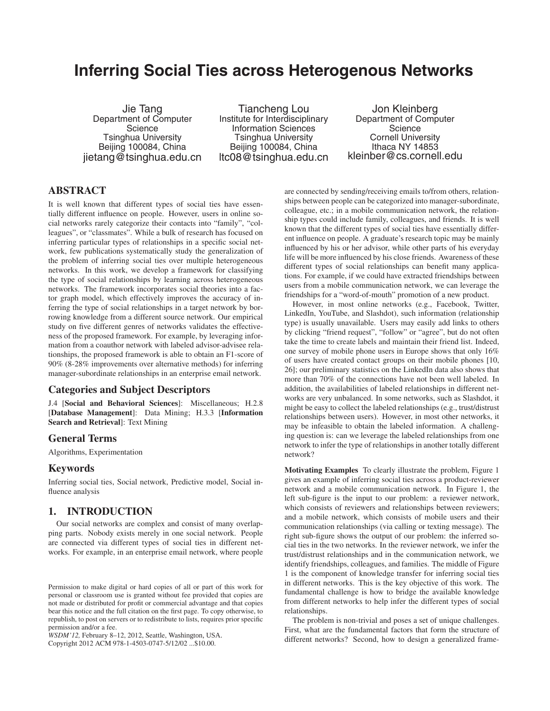# **Inferring Social Ties across Heterogenous Networks**

Jie Tang Department of Computer **Science** Tsinghua University Beijing 100084, China jietang@tsinghua.edu.cn

Tiancheng Lou Institute for Interdisciplinary Information Sciences Tsinghua University Beijing 100084, China ltc08@tsinghua.edu.cn

Jon Kleinberg Department of Computer **Science** Cornell University Ithaca NY 14853 kleinber@cs.cornell.edu

## **ABSTRACT**

It is well known that different types of social ties have essentially different influence on people. However, users in online social networks rarely categorize their contacts into "family", "colleagues", or "classmates". While a bulk of research has focused on inferring particular types of relationships in a specific social network, few publications systematically study the generalization of the problem of inferring social ties over multiple heterogeneous networks. In this work, we develop a framework for classifying the type of social relationships by learning across heterogeneous networks. The framework incorporates social theories into a factor graph model, which effectively improves the accuracy of inferring the type of social relationships in a target network by borrowing knowledge from a different source network. Our empirical study on five different genres of networks validates the effectiveness of the proposed framework. For example, by leveraging information from a coauthor network with labeled advisor-advisee relationships, the proposed framework is able to obtain an F1-score of 90% (8-28% improvements over alternative methods) for inferring manager-subordinate relationships in an enterprise email network.

## **Categories and Subject Descriptors**

J.4 [**Social and Behavioral Sciences**]: Miscellaneous; H.2.8 [**Database Management**]: Data Mining; H.3.3 [**Information Search and Retrieval**]: Text Mining

#### **General Terms**

Algorithms, Experimentation

## **Keywords**

Inferring social ties, Social network, Predictive model, Social influence analysis

## **1. INTRODUCTION**

Our social networks are complex and consist of many overlapping parts. Nobody exists merely in one social network. People are connected via different types of social ties in different networks. For example, in an enterprise email network, where people

Copyright 2012 ACM 978-1-4503-0747-5/12/02 ...\$10.00.

are connected by sending/receiving emails to/from others, relationships between people can be categorized into manager-subordinate, colleague, etc.; in a mobile communication network, the relationship types could include family, colleagues, and friends. It is well known that the different types of social ties have essentially different influence on people. A graduate's research topic may be mainly influenced by his or her advisor, while other parts of his everyday life will be more influenced by his close friends. Awareness of these different types of social relationships can benefit many applications. For example, if we could have extracted friendships between users from a mobile communication network, we can leverage the friendships for a "word-of-mouth" promotion of a new product.

However, in most online networks (e.g., Facebook, Twitter, LinkedIn, YouTube, and Slashdot), such information (relationship type) is usually unavailable. Users may easily add links to others by clicking "friend request", "follow" or "agree", but do not often take the time to create labels and maintain their friend list. Indeed, one survey of mobile phone users in Europe shows that only 16% of users have created contact groups on their mobile phones [10, 26]; our preliminary statistics on the LinkedIn data also shows that more than 70% of the connections have not been well labeled. In addition, the availabilities of labeled relationships in different networks are very unbalanced. In some networks, such as Slashdot, it might be easy to collect the labeled relationships (e.g., trust/distrust relationships between users). However, in most other networks, it may be infeasible to obtain the labeled information. A challenging question is: can we leverage the labeled relationships from one network to infer the type of relationships in another totally different network?

**Motivating Examples** To clearly illustrate the problem, Figure 1 gives an example of inferring social ties across a product-reviewer network and a mobile communication network. In Figure 1, the left sub-figure is the input to our problem: a reviewer network, which consists of reviewers and relationships between reviewers; and a mobile network, which consists of mobile users and their communication relationships (via calling or texting message). The right sub-figure shows the output of our problem: the inferred social ties in the two networks. In the reviewer network, we infer the trust/distrust relationships and in the communication network, we identify friendships, colleagues, and families. The middle of Figure 1 is the component of knowledge transfer for inferring social ties in different networks. This is the key objective of this work. The fundamental challenge is how to bridge the available knowledge from different networks to help infer the different types of social relationships.

The problem is non-trivial and poses a set of unique challenges. First, what are the fundamental factors that form the structure of different networks? Second, how to design a generalized frame-

Permission to make digital or hard copies of all or part of this work for personal or classroom use is granted without fee provided that copies are not made or distributed for profit or commercial advantage and that copies bear this notice and the full citation on the first page. To copy otherwise, to republish, to post on servers or to redistribute to lists, requires prior specific permission and/or a fee.

*WSDM'12,* February 8–12, 2012, Seattle, Washington, USA.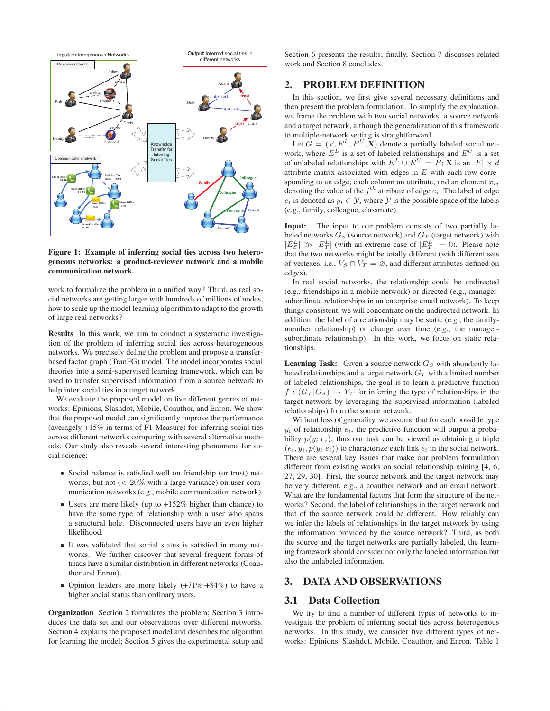

**Figure 1: Example of inferring social ties across two heterogeneous networks: a product-reviewer network and a mobile communication network.**

work to formalize the problem in a unified way? Third, as real social networks are getting larger with hundreds of millions of nodes, how to scale up the model learning algorithm to adapt to the growth of large real networks?

**Results** In this work, we aim to conduct a systematic investigation of the problem of inferring social ties across heterogeneous networks. We precisely define the problem and propose a transferbased factor graph (TranFG) model. The model incorporates social theories into a semi-supervised learning framework, which can be used to transfer supervised information from a source network to help infer social ties in a target network.

We evaluate the proposed model on five different genres of networks: Epinions, Slashdot, Mobile, Coauthor, and Enron. We show that the proposed model can significantly improve the performance (averagely +15% in terms of F1-Measure) for inferring social ties across different networks comparing with several alternative methods. Our study also reveals several interesting phenomena for social science:

- Social balance is satisfied well on friendship (or trust) networks; but not  $(< 20\%$  with a large variance) on user communication networks (e.g., mobile communication network).
- Users are more likely (up to +152% higher than chance) to have the same type of relationship with a user who spans a structural hole. Disconnected users have an even higher likelihood.
- It was validated that social status is satisfied in many networks. We further discover that several frequent forms of triads have a similar distribution in different networks (Coauthor and Enron).
- Opinion leaders are more likely  $(+71\% + 84\%)$  to have a higher social status than ordinary users.

**Organization** Section 2 formulates the problem; Section 3 introduces the data set and our observations over different networks. Section 4 explains the proposed model and describes the algorithm for learning the model; Section 5 gives the experimental setup and

Section 6 presents the results; finally, Section 7 discusses related work and Section 8 concludes.

## **2. PROBLEM DEFINITION**

In this section, we first give several necessary definitions and then present the problem formulation. To simplify the explanation, we frame the problem with two social networks: a source network and a target network, although the generalization of this framework to multiple-network setting is straightforward.

Let  $\mathbf{G} = (V, E^L, E^U, \mathbf{X})$  denote a partially labeled social network, where  $E^L$  is a set of labeled relationships and  $E^U$  is a set of unlabeled relationships with  $E^L \cup E^U = E$ ; **X** is an  $|E| \times d$ attribute matrix associated with edges in  $E$  with each row corresponding to an edge, each column an attribute, and an element  $x_{ij}$ denoting the value of the  $j<sup>th</sup>$  attribute of edge  $e_i$ . The label of edge  $e_i$  is denoted as  $y_i \in \mathcal{Y}$ , where  $\mathcal Y$  is the possible space of the labels (e.g., family, colleague, classmate).

**Input:** The input to our problem consists of two partially labeled networks  $\tilde{G}_S$  (source network) and  $G_T$  (target network) with  $|E_S^L| \gg |E_T^L|$  (with an extreme case of  $|E_T^L| = 0$ ). Please note<br>that the two networks might be totally different (with different sets that the two networks might be totally different (with different sets of vertexes, i.e.,  $V_S \cap V_T = \emptyset$ , and different attributes defined on edges).

In real social networks, the relationship could be undirected (e.g., friendships in a mobile network) or directed (e.g., managersubordinate relationships in an enterprise email network). To keep things consistent, we will concentrate on the undirected network. In addition, the label of a relationship may be static (e.g., the familymember relationship) or change over time (e.g., the managersubordinate relationship). In this work, we focus on static relationships.

**Learning Task:** Given a source network  $G_S$  with abundantly labeled relationships and a target network  $G_T$  with a limited number of labeled relationships, the goal is to learn a predictive function  $f : (G_T | G_S) \rightarrow Y_T$  for inferring the type of relationships in the target network by leveraging the supervised information (labeled relationships) from the source network.

Without loss of generality, we assume that for each possible type  $y_i$  of relationship  $e_i$ , the predictive function will output a probability  $p(y_i|e_i)$ ; thus our task can be viewed as obtaining a triple  $(e_i, y_i, p(y_i|e_i))$  to characterize each link  $e_i$  in the social network. There are several key issues that make our problem formulation different from existing works on social relationship mining [4, 6, 27, 29, 30]. First, the source network and the target network may be very different, e.g., a coauthor network and an email network. What are the fundamental factors that form the structure of the networks? Second, the label of relationships in the target network and that of the source network could be different. How reliably can we infer the labels of relationships in the target network by using the information provided by the source network? Third, as both the source and the target networks are partially labeled, the learning framework should consider not only the labeled information but also the unlabeled information.

#### **3. DATA AND OBSERVATIONS**

#### **3.1 Data Collection**

We try to find a number of different types of networks to investigate the problem of inferring social ties across heterogenous networks. In this study, we consider five different types of networks: Epinions, Slashdot, Mobile, Coauthor, and Enron. Table 1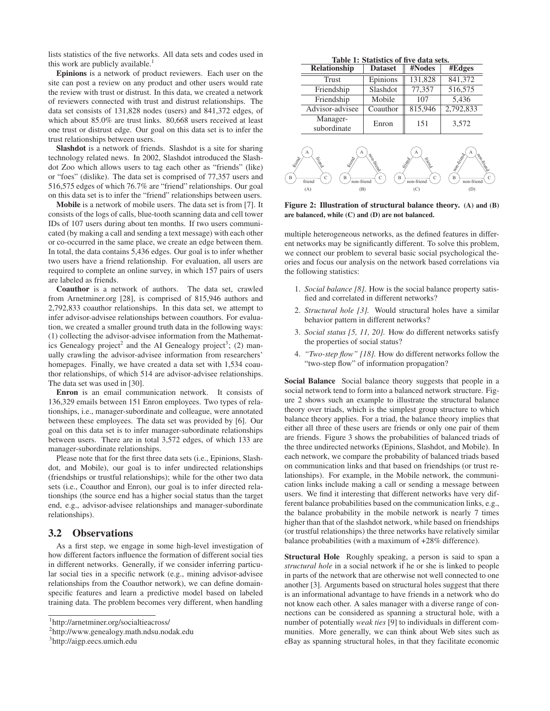lists statistics of the five networks. All data sets and codes used in this work are publicly available.<sup>1</sup>

**Epinions** is a network of product reviewers. Each user on the site can post a review on any product and other users would rate the review with trust or distrust. In this data, we created a network of reviewers connected with trust and distrust relationships. The data set consists of 131,828 nodes (users) and 841,372 edges, of which about 85.0% are trust links. 80,668 users received at least one trust or distrust edge. Our goal on this data set is to infer the trust relationships between users.

**Slashdot** is a network of friends. Slashdot is a site for sharing technology related news. In 2002, Slashdot introduced the Slashdot Zoo which allows users to tag each other as "friends" (like) or "foes" (dislike). The data set is comprised of 77,357 users and 516,575 edges of which 76.7% are "friend" relationships. Our goal on this data set is to infer the "friend" relationships between users.

**Mobile** is a network of mobile users. The data set is from [7]. It consists of the logs of calls, blue-tooth scanning data and cell tower IDs of 107 users during about ten months. If two users communicated (by making a call and sending a text message) with each other or co-occurred in the same place, we create an edge between them. In total, the data contains 5,436 edges. Our goal is to infer whether two users have a friend relationship. For evaluation, all users are required to complete an online survey, in which 157 pairs of users are labeled as friends.

**Coauthor** is a network of authors. The data set, crawled from Arnetminer.org [28], is comprised of 815,946 authors and 2,792,833 coauthor relationships. In this data set, we attempt to infer advisor-advisee relationships between coauthors. For evaluation, we created a smaller ground truth data in the following ways: (1) collecting the advisor-advisee information from the Mathematics Genealogy project<sup>2</sup> and the AI Genealogy project<sup>3</sup>; (2) manually crawling the advisor-advisee information from researchers' homepages. Finally, we have created a data set with 1,534 coauthor relationships, of which 514 are advisor-advisee relationships. The data set was used in [30].

**Enron** is an email communication network. It consists of 136,329 emails between 151 Enron employees. Two types of relationships, i.e., manager-subordinate and colleague, were annotated between these employees. The data set was provided by [6]. Our goal on this data set is to infer manager-subordinate relationships between users. There are in total 3,572 edges, of which 133 are manager-subordinate relationships.

Please note that for the first three data sets (i.e., Epinions, Slashdot, and Mobile), our goal is to infer undirected relationships (friendships or trustful relationships); while for the other two data sets (i.e., Coauthor and Enron), our goal is to infer directed relationships (the source end has a higher social status than the target end, e.g., advisor-advisee relationships and manager-subordinate relationships).

## **3.2 Observations**

As a first step, we engage in some high-level investigation of how different factors influence the formation of different social ties in different networks. Generally, if we consider inferring particular social ties in a specific network (e.g., mining advisor-advisee relationships from the Coauthor network), we can define domainspecific features and learn a predictive model based on labeled training data. The problem becomes very different, when handling

| Table 1: Statistics of five data sets. |                |         |           |
|----------------------------------------|----------------|---------|-----------|
| Relationship                           | <b>Dataset</b> | #Nodes  | #Edges    |
| <b>Trust</b>                           | Epinions       | 131,828 | 841,372   |
| Friendship                             | Slashdot       | 77,357  | 516,575   |
| Friendship                             | Mobile         | 107     | 5,436     |
| Advisor-advisee                        | Coauthor       | 815,946 | 2,792,833 |
| Manager-<br>subordinate                | Enron          | 151     | 3,572     |
| A                                      |                | А       |           |



**Figure 2: Illustration of structural balance theory. (A) and (B) are balanced, while (C) and (D) are not balanced.**

multiple heterogeneous networks, as the defined features in different networks may be significantly different. To solve this problem, we connect our problem to several basic social psychological theories and focus our analysis on the network based correlations via the following statistics:

- 1. *Social balance [8].* How is the social balance property satisfied and correlated in different networks?
- 2. *Structural hole [3].* Would structural holes have a similar behavior pattern in different networks?
- 3. *Social status [5, 11, 20].* How do different networks satisfy the properties of social status?
- 4. *"Two-step flow" [18].* How do different networks follow the "two-step flow" of information propagation?

**Social Balance** Social balance theory suggests that people in a social network tend to form into a balanced network structure. Figure 2 shows such an example to illustrate the structural balance theory over triads, which is the simplest group structure to which balance theory applies. For a triad, the balance theory implies that either all three of these users are friends or only one pair of them are friends. Figure 3 shows the probabilities of balanced triads of the three undirected networks (Epinions, Slashdot, and Mobile). In each network, we compare the probability of balanced triads based on communication links and that based on friendships (or trust relationships). For example, in the Mobile network, the communication links include making a call or sending a message between users. We find it interesting that different networks have very different balance probabilities based on the communication links, e.g., the balance probability in the mobile network is nearly 7 times higher than that of the slashdot network, while based on friendships (or trustful relationships) the three networks have relatively similar balance probabilities (with a maximum of +28% difference).

**Structural Hole** Roughly speaking, a person is said to span a *structural hole* in a social network if he or she is linked to people in parts of the network that are otherwise not well connected to one another [3]. Arguments based on structural holes suggest that there is an informational advantage to have friends in a network who do not know each other. A sales manager with a diverse range of connections can be considered as spanning a structural hole, with a number of potentially *weak ties* [9] to individuals in different communities. More generally, we can think about Web sites such as eBay as spanning structural holes, in that they facilitate economic

<sup>1</sup> http://arnetminer.org/socialtieacross/

<sup>2</sup> http://www.genealogy.math.ndsu.nodak.edu

<sup>3</sup> http://aigp.eecs.umich.edu